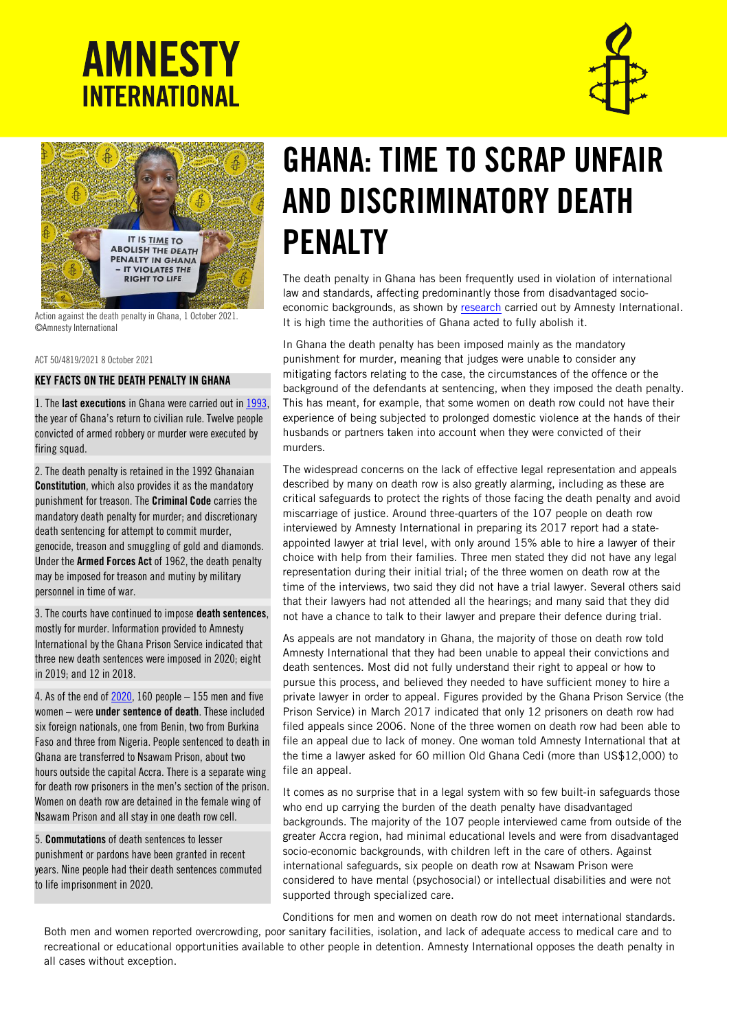





Action against the death penalty in Ghana, 1 October 2021. ©Amnesty International

ACT 50/4819/2021 8 October 2021

#### KEY FACTS ON THE DEATH PENALTY IN GHANA

1. The last executions in Ghana were carried out in [1993,](https://www.amnesty.org/en/wp-content/uploads/2021/06/afr280011993en.pdf) the year of Ghana's return to civilian rule. Twelve people convicted of armed robbery or murder were executed by firing squad.

2. The death penalty is retained in the 1992 Ghanaian Constitution, which also provides it as the mandatory punishment for treason. The Criminal Code carries the mandatory death penalty for murder; and discretionary death sentencing for attempt to commit murder, genocide, treason and smuggling of gold and diamonds. Under the Armed Forces Act of 1962, the death penalty may be imposed for treason and mutiny by military personnel in time of war.

3. The courts have continued to impose death sentences, mostly for murder. Information provided to Amnesty International by the Ghana Prison Service indicated that three new death sentences were imposed in 2020; eight in 2019; and 12 in 2018.

4. As of the end of  $2020$ , 160 people  $-155$  men and five women – were under sentence of death. These included six foreign nationals, one from Benin, two from Burkina Faso and three from Nigeria. People sentenced to death in Ghana are transferred to Nsawam Prison, about two hours outside the capital Accra. There is a separate wing for death row prisoners in the men's section of the prison. Women on death row are detained in the female wing of Nsawam Prison and all stay in one death row cell.

5. Commutations of death sentences to lesser punishment or pardons have been granted in recent years. Nine people had their death sentences commuted to life imprisonment in 2020.

## GHANA: TIME TO SCRAP UNFAIR AND DISCRIMINATORY DEATH **PENALTY**

The death penalty in Ghana has been frequently used in violation of international law and standards, affecting predominantly those from disadvantaged socioeconomic backgrounds, as shown by [research](https://www.amnesty.org/en/documents/act50/6268/2017/en/) carried out by Amnesty International. It is high time the authorities of Ghana acted to fully abolish it.

In Ghana the death penalty has been imposed mainly as the mandatory punishment for murder, meaning that judges were unable to consider any mitigating factors relating to the case, the circumstances of the offence or the background of the defendants at sentencing, when they imposed the death penalty. This has meant, for example, that some women on death row could not have their experience of being subjected to prolonged domestic violence at the hands of their husbands or partners taken into account when they were convicted of their murders.

The widespread concerns on the lack of effective legal representation and appeals described by many on death row is also greatly alarming, including as these are critical safeguards to protect the rights of those facing the death penalty and avoid miscarriage of justice. Around three-quarters of the 107 people on death row interviewed by Amnesty International in preparing its 2017 report had a stateappointed lawyer at trial level, with only around 15% able to hire a lawyer of their choice with help from their families. Three men stated they did not have any legal representation during their initial trial; of the three women on death row at the time of the interviews, two said they did not have a trial lawyer. Several others said that their lawyers had not attended all the hearings; and many said that they did not have a chance to talk to their lawyer and prepare their defence during trial.

As appeals are not mandatory in Ghana, the majority of those on death row told Amnesty International that they had been unable to appeal their convictions and death sentences. Most did not fully understand their right to appeal or how to pursue this process, and believed they needed to have sufficient money to hire a private lawyer in order to appeal. Figures provided by the Ghana Prison Service (the Prison Service) in March 2017 indicated that only 12 prisoners on death row had filed appeals since 2006. None of the three women on death row had been able to file an appeal due to lack of money. One woman told Amnesty International that at the time a lawyer asked for 60 million Old Ghana Cedi (more than US\$12,000) to file an appeal.

It comes as no surprise that in a legal system with so few built-in safeguards those who end up carrying the burden of the death penalty have disadvantaged backgrounds. The majority of the 107 people interviewed came from outside of the greater Accra region, had minimal educational levels and were from disadvantaged socio-economic backgrounds, with children left in the care of others. Against international safeguards, six people on death row at Nsawam Prison were considered to have mental (psychosocial) or intellectual disabilities and were not supported through specialized care.

Conditions for men and women on death row do not meet international standards.

Both men and women reported overcrowding, poor sanitary facilities, isolation, and lack of adequate access to medical care and to recreational or educational opportunities available to other people in detention. Amnesty International opposes the death penalty in all cases without exception.